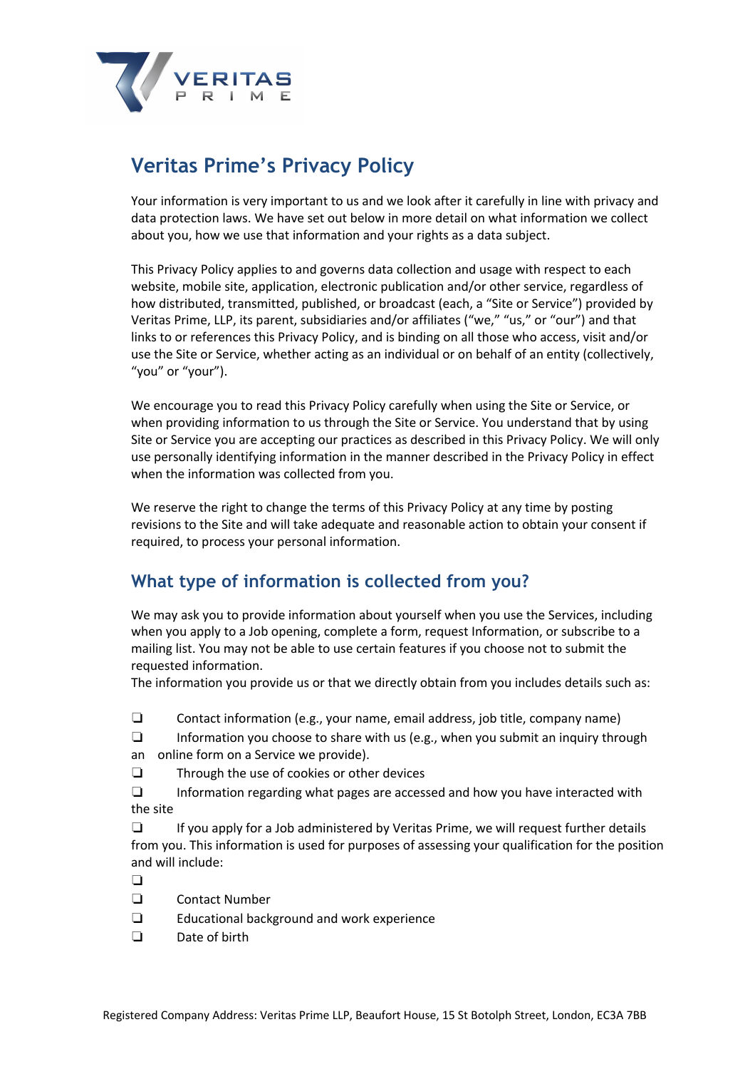

# **Veritas Prime's Privacy Policy**

Your information is very important to us and we look after it carefully in line with privacy and data protection laws. We have set out below in more detail on what information we collect about you, how we use that information and your rights as a data subject.

This Privacy Policy applies to and governs data collection and usage with respect to each website, mobile site, application, electronic publication and/or other service, regardless of how distributed, transmitted, published, or broadcast (each, a "Site or Service") provided by Veritas Prime, LLP, its parent, subsidiaries and/or affiliates ("we," "us," or "our") and that links to or references this Privacy Policy, and is binding on all those who access, visit and/or use the Site or Service, whether acting as an individual or on behalf of an entity (collectively, "you" or "your").

We encourage you to read this Privacy Policy carefully when using the Site or Service, or when providing information to us through the Site or Service. You understand that by using Site or Service you are accepting our practices as described in this Privacy Policy. We will only use personally identifying information in the manner described in the Privacy Policy in effect when the information was collected from you.

We reserve the right to change the terms of this Privacy Policy at any time by posting revisions to the Site and will take adequate and reasonable action to obtain your consent if required, to process your personal information.

# **What type of information is collected from you?**

We may ask you to provide information about yourself when you use the Services, including when you apply to a Job opening, complete a form, request Information, or subscribe to a mailing list. You may not be able to use certain features if you choose not to submit the requested information.

The information you provide us or that we directly obtain from you includes details such as:

- ❏ Contact information (e.g., your name, email address, job title, company name)
- ❏ Information you choose to share with us (e.g., when you submit an inquiry through
- an online form on a Service we provide).
- ❏ Through the use of cookies or other devices
- ❏ Information regarding what pages are accessed and how you have interacted with the site

❏ If you apply for a Job administered by Veritas Prime, we will request further details from you. This information is used for purposes of assessing your qualification for the position and will include:

- $\Box$
- ❏ Contact Number
- ❏ Educational background and work experience
- ❏ Date of birth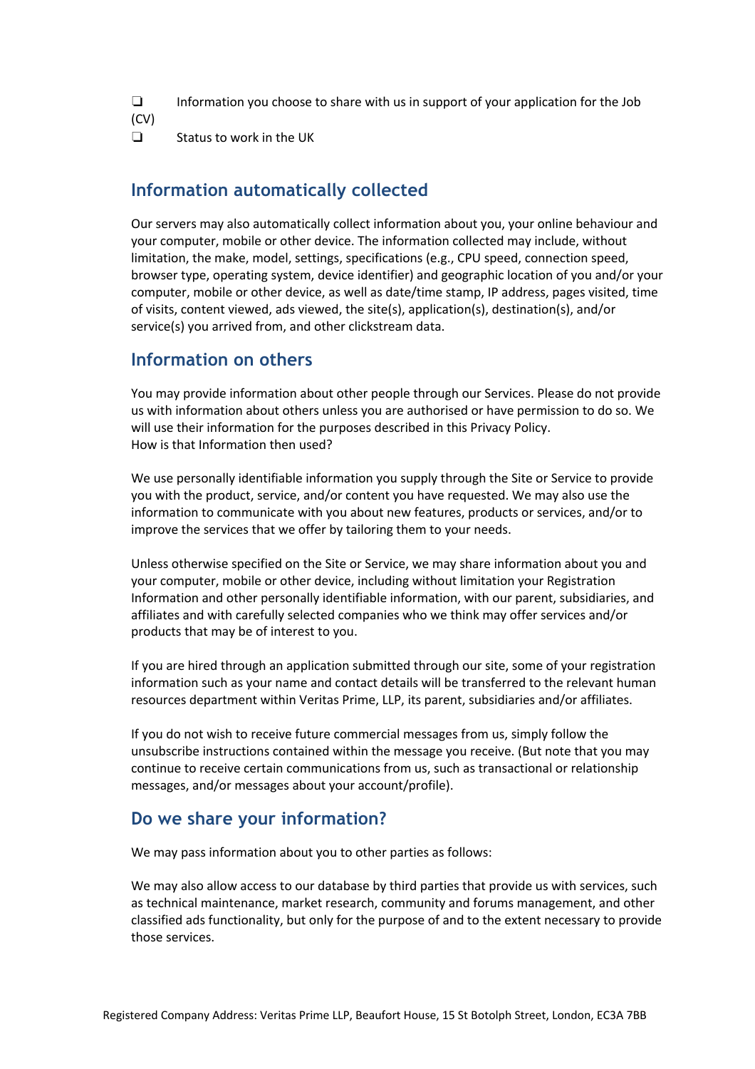❏ Information you choose to share with us in support of your application for the Job (CV)

❏ Status to work in the UK

## **Information automatically collected**

Our servers may also automatically collect information about you, your online behaviour and your computer, mobile or other device. The information collected may include, without limitation, the make, model, settings, specifications (e.g., CPU speed, connection speed, browser type, operating system, device identifier) and geographic location of you and/or your computer, mobile or other device, as well as date/time stamp, IP address, pages visited, time of visits, content viewed, ads viewed, the site(s), application(s), destination(s), and/or service(s) you arrived from, and other clickstream data.

#### **Information on others**

You may provide information about other people through our Services. Please do not provide us with information about others unless you are authorised or have permission to do so. We will use their information for the purposes described in this Privacy Policy. How is that Information then used?

We use personally identifiable information you supply through the Site or Service to provide you with the product, service, and/or content you have requested. We may also use the information to communicate with you about new features, products or services, and/or to improve the services that we offer by tailoring them to your needs.

Unless otherwise specified on the Site or Service, we may share information about you and your computer, mobile or other device, including without limitation your Registration Information and other personally identifiable information, with our parent, subsidiaries, and affiliates and with carefully selected companies who we think may offer services and/or products that may be of interest to you.

If you are hired through an application submitted through our site, some of your registration information such as your name and contact details will be transferred to the relevant human resources department within Veritas Prime, LLP, its parent, subsidiaries and/or affiliates.

If you do not wish to receive future commercial messages from us, simply follow the unsubscribe instructions contained within the message you receive. (But note that you may continue to receive certain communications from us, such as transactional or relationship messages, and/or messages about your account/profile).

#### **Do we share your information?**

We may pass information about you to other parties as follows:

We may also allow access to our database by third parties that provide us with services, such as technical maintenance, market research, community and forums management, and other classified ads functionality, but only for the purpose of and to the extent necessary to provide those services.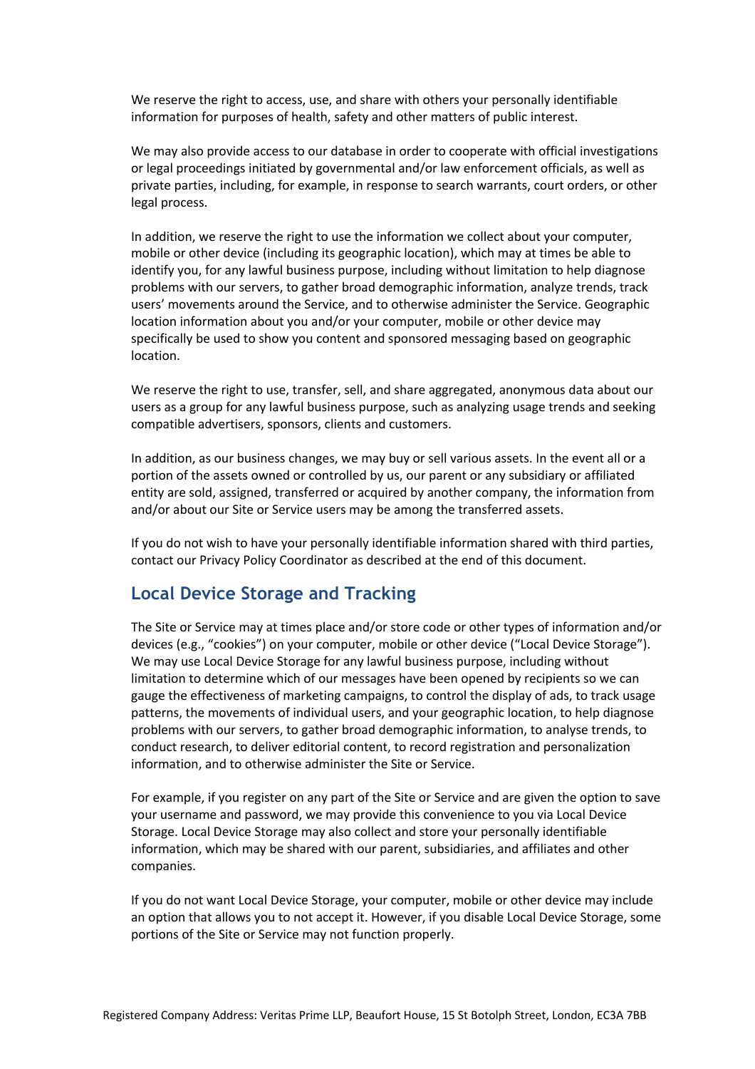We reserve the right to access, use, and share with others your personally identifiable information for purposes of health, safety and other matters of public interest.

We may also provide access to our database in order to cooperate with official investigations or legal proceedings initiated by governmental and/or law enforcement officials, as well as private parties, including, for example, in response to search warrants, court orders, or other legal process.

In addition, we reserve the right to use the information we collect about your computer, mobile or other device (including its geographic location), which may at times be able to identify you, for any lawful business purpose, including without limitation to help diagnose problems with our servers, to gather broad demographic information, analyze trends, track users' movements around the Service, and to otherwise administer the Service. Geographic location information about you and/or your computer, mobile or other device may specifically be used to show you content and sponsored messaging based on geographic location.

We reserve the right to use, transfer, sell, and share aggregated, anonymous data about our users as a group for any lawful business purpose, such as analyzing usage trends and seeking compatible advertisers, sponsors, clients and customers.

In addition, as our business changes, we may buy or sell various assets. In the event all or a portion of the assets owned or controlled by us, our parent or any subsidiary or affiliated entity are sold, assigned, transferred or acquired by another company, the information from and/or about our Site or Service users may be among the transferred assets.

If you do not wish to have your personally identifiable information shared with third parties, contact our Privacy Policy Coordinator as described at the end of this document.

## **Local Device Storage and Tracking**

The Site or Service may at times place and/or store code or other types of information and/or devices (e.g., "cookies") on your computer, mobile or other device ("Local Device Storage"). We may use Local Device Storage for any lawful business purpose, including without limitation to determine which of our messages have been opened by recipients so we can gauge the effectiveness of marketing campaigns, to control the display of ads, to track usage patterns, the movements of individual users, and your geographic location, to help diagnose problems with our servers, to gather broad demographic information, to analyse trends, to conduct research, to deliver editorial content, to record registration and personalization information, and to otherwise administer the Site or Service.

For example, if you register on any part of the Site or Service and are given the option to save your username and password, we may provide this convenience to you via Local Device Storage. Local Device Storage may also collect and store your personally identifiable information, which may be shared with our parent, subsidiaries, and affiliates and other companies.

If you do not want Local Device Storage, your computer, mobile or other device may include an option that allows you to not accept it. However, if you disable Local Device Storage, some portions of the Site or Service may not function properly.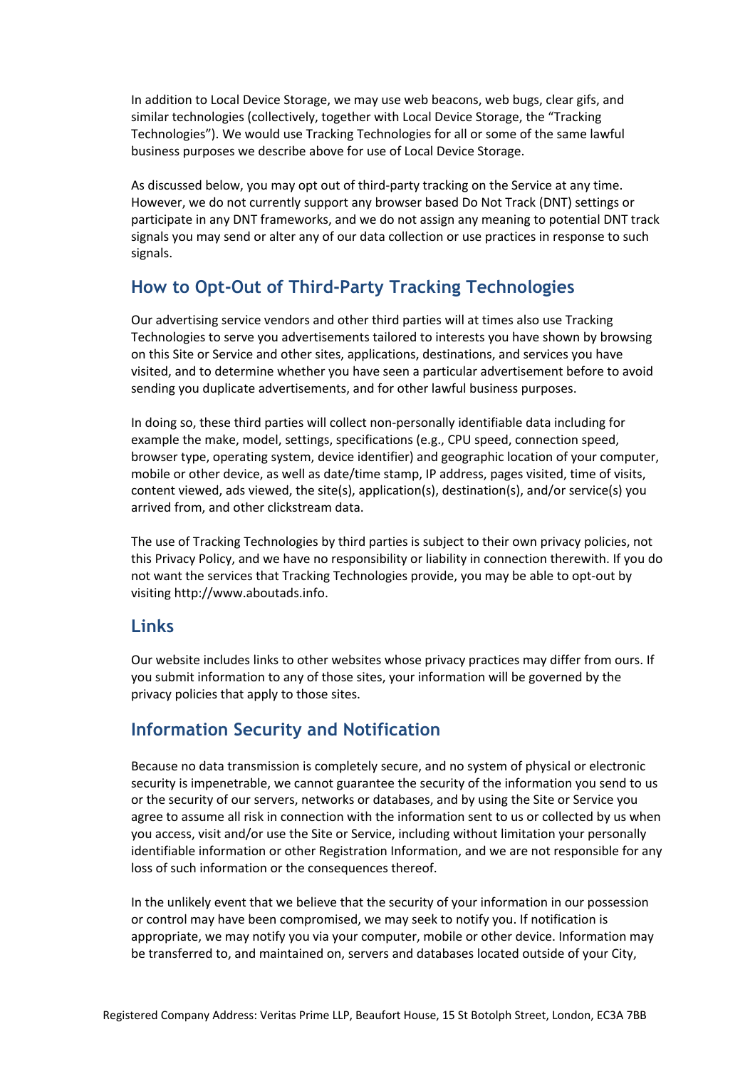In addition to Local Device Storage, we may use web beacons, web bugs, clear gifs, and similar technologies (collectively, together with Local Device Storage, the "Tracking Technologies"). We would use Tracking Technologies for all or some of the same lawful business purposes we describe above for use of Local Device Storage.

As discussed below, you may opt out of third-party tracking on the Service at any time. However, we do not currently support any browser based Do Not Track (DNT) settings or participate in any DNT frameworks, and we do not assign any meaning to potential DNT track signals you may send or alter any of our data collection or use practices in response to such signals.

# **How to Opt-Out of Third-Party Tracking Technologies**

Our advertising service vendors and other third parties will at times also use Tracking Technologies to serve you advertisements tailored to interests you have shown by browsing on this Site or Service and other sites, applications, destinations, and services you have visited, and to determine whether you have seen a particular advertisement before to avoid sending you duplicate advertisements, and for other lawful business purposes.

In doing so, these third parties will collect non-personally identifiable data including for example the make, model, settings, specifications (e.g., CPU speed, connection speed, browser type, operating system, device identifier) and geographic location of your computer, mobile or other device, as well as date/time stamp, IP address, pages visited, time of visits, content viewed, ads viewed, the site(s), application(s), destination(s), and/or service(s) you arrived from, and other clickstream data.

The use of Tracking Technologies by third parties is subject to their own privacy policies, not this Privacy Policy, and we have no responsibility or liability in connection therewith. If you do not want the services that Tracking Technologies provide, you may be able to opt-out by visiting http://www.aboutads.info.

## **Links**

Our website includes links to other websites whose privacy practices may differ from ours. If you submit information to any of those sites, your information will be governed by the privacy policies that apply to those sites.

# **Information Security and Notification**

Because no data transmission is completely secure, and no system of physical or electronic security is impenetrable, we cannot guarantee the security of the information you send to us or the security of our servers, networks or databases, and by using the Site or Service you agree to assume all risk in connection with the information sent to us or collected by us when you access, visit and/or use the Site or Service, including without limitation your personally identifiable information or other Registration Information, and we are not responsible for any loss of such information or the consequences thereof.

In the unlikely event that we believe that the security of your information in our possession or control may have been compromised, we may seek to notify you. If notification is appropriate, we may notify you via your computer, mobile or other device. Information may be transferred to, and maintained on, servers and databases located outside of your City,